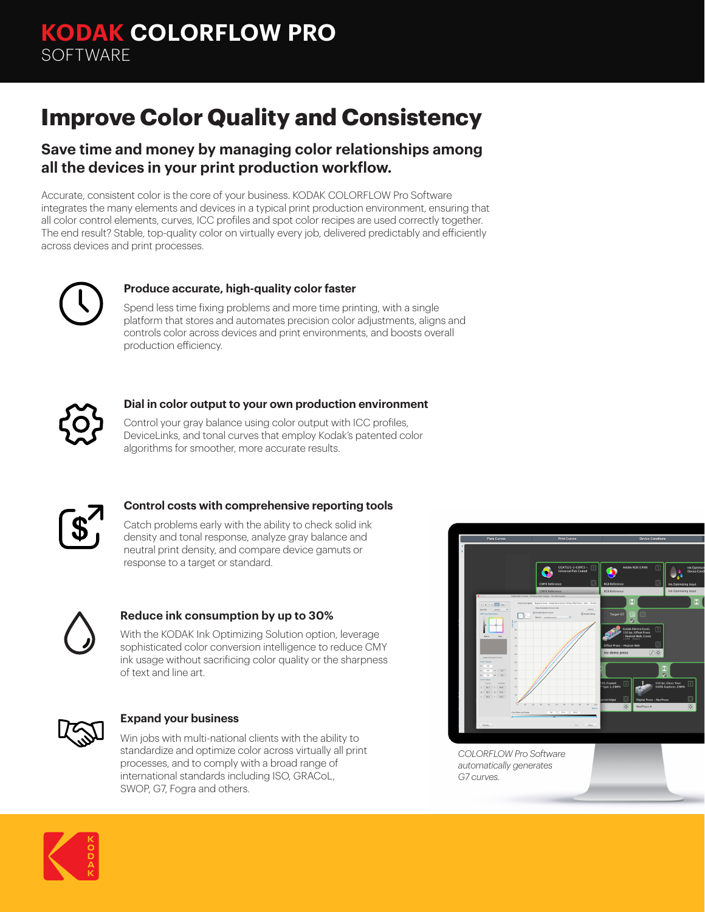# **Improve Color Quality and Consistency**

### **Save time and money by managing color relationships among all the devices in your print production workflow.**

Accurate, consistent color is the core of your business. KODAK COLORFLOW Pro Software integrates the many elements and devices in a typical print production environment, ensuring that all color control elements, curves, ICC profiles and spot color recipes are used correctly together. The end result? Stable, top-quality color on virtually every job, delivered predictably and efficiently across devices and print processes.



#### **Produce accurate, high-quality color faster**

Spend less time fixing problems and more time printing, with a single platform that stores and automates precision color adjustments, aligns and controls color across devices and print environments, and boosts overall production efficiency.



#### **Dial in color output to your own production environment**

Control your gray balance using color output with ICC profiles, DeviceLinks, and tonal curves that employ Kodak's patented color algorithms for smoother, more accurate results.



#### **Control costs with comprehensive reporting tools**

Catch problems early with the ability to check solid ink density and tonal response, analyze gray balance and neutral print density, and compare device gamuts or response to a target or standard.



### **Reduce ink consumption by up to 30%**

With the KODAK Ink Optimizing Solution option, leverage sophisticated color conversion intelligence to reduce CMY ink usage without sacrificing color quality or the sharpness of text and line art.



#### **Expand your business**

Win jobs with multi-national clients with the ability to standardize and optimize color across virtually all print processes, and to comply with a broad range of international standards including ISO, GRACoL, SWOP, G7, Fogra and others.



*COLORFLOW Pro Software automatically generates G7 curves.*